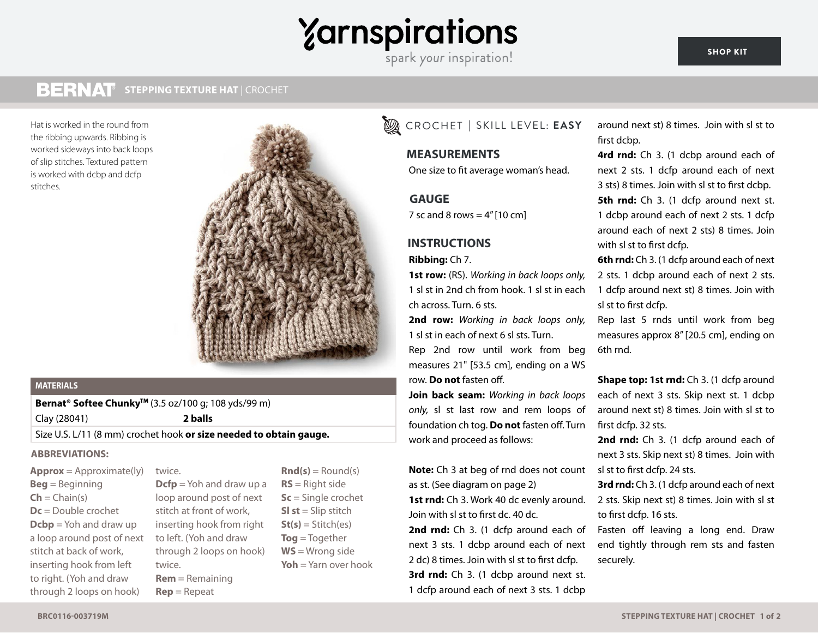# **Zarnspirations**

spark your inspiration!

#### **BERNAT STEPPING TEXTURE HAT** | CROCHET **STEPPING TEXTURE HAT** | CROCHET

the ribbing upwards. Ribbing is worked sideways into back loops of slip stitches. Textured pattern is worked with dcbp and dcfp stitches.



### **MATERIALS**

**Bernat<sup>®</sup> Softee Chunky<sup>™</sup> (3.5 oz/100 g; 108 yds/99 m)** 

Clay (28041) **2 balls**

Size U.S. L/11 (8 mm) crochet hook **or size needed to obtain gauge.**

#### **ABBREVIATIONS:**

**Approx** = Approximate(ly) **Beg** = Beginning  $Ch = Chain(s)$ **Dc** = Double crochet **Dcbp** = Yoh and draw up a loop around post of next stitch at back of work, inserting hook from left to right. (Yoh and draw through 2 loops on hook)

twice. **Dcfp** = Yoh and draw up a loop around post of next stitch at front of work, inserting hook from right to left. (Yoh and draw through 2 loops on hook) twice. **Rem** = Remaining **Rep** = Repeat

 $\mathbf{Rnd}(s) = \text{Round}(s)$ **RS** = Right side **Sc** = Single crochet **Sl st** = Slip stitch  $St(s) = Stitch(es)$ **Tog** = Together **WS** = Wrong side **Yoh** = Yarn over hook

# Hat is worked in the round from EASY CROCHET **|** SKILL LEVEL: **EASY**

# **SIZE MEASUREMENTS**

One size to fit average woman's head.

# **GAUGE GAUGE**

7 sc and 8 rows  $= 4$ " [10 cm]

# **INSTRUCTIONS INSTRUCTIONS**

### **Ribbing:** Ch 7.

**1st row:** (RS). *Working in back loops only,*  1 sl st in 2nd ch from hook. 1 sl st in each ch across. Turn. 6 sts.

**2nd row:** *Working in back loops only,*  1 sl st in each of next 6 sl sts. Turn. Rep 2nd row until work from beg measures 21" [53.5 cm], ending on a WS row. **Do not** fasten off.

**Join back seam:** *Working in back loops only,* sl st last row and rem loops of foundation ch tog. **Do not** fasten off. Turn work and proceed as follows:

**Note:** Ch 3 at beg of rnd does not count as st. (See diagram on page 2) **1st rnd:** Ch 3. Work 40 dc evenly around. Join with sl st to first dc. 40 dc.

2nd rnd: Ch 3. (1 dcfp around each of next 3 sts. 1 dcbp around each of next 2 dc) 8 times. Join with sl st to first dcfp. **3rd rnd:** Ch 3. (1 dcbp around next st. 1 dcfp around each of next 3 sts. 1 dcbp

around next st) 8 times. Join with sl st to first dcbp.

**4rd rnd:** Ch 3. (1 dcbp around each of next 2 sts. 1 dcfp around each of next 3 sts) 8 times. Join with sl st to first dcbp.

**5th rnd:** Ch 3. (1 dcfp around next st. 1 dcbp around each of next 2 sts. 1 dcfp around each of next 2 sts) 8 times. Join with sl st to first dcfp.

**6th rnd:** Ch 3. (1 dcfp around each of next 2 sts. 1 dcbp around each of next 2 sts. 1 dcfp around next st) 8 times. Join with sl st to first dcfp.

Rep last 5 rnds until work from beg measures approx 8" [20.5 cm], ending on 6th rnd.

**Shape top: 1st rnd:** Ch 3. (1 dcfp around each of next 3 sts. Skip next st. 1 dcbp around next st) 8 times. Join with sl st to first dcfp. 32 sts.

2nd rnd: Ch 3. (1 dcfp around each of next 3 sts. Skip next st) 8 times. Join with sl st to first dcfp. 24 sts.

**3rd rnd:** Ch 3. (1 dcfp around each of next 2 sts. Skip next st) 8 times. Join with sl st to first dcfp. 16 sts.

Fasten off leaving a long end. Draw end tightly through rem sts and fasten securely.